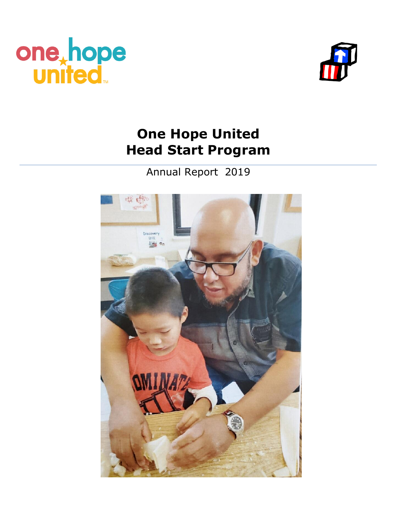



# **One Hope United Head Start Program**

Annual Report 2019

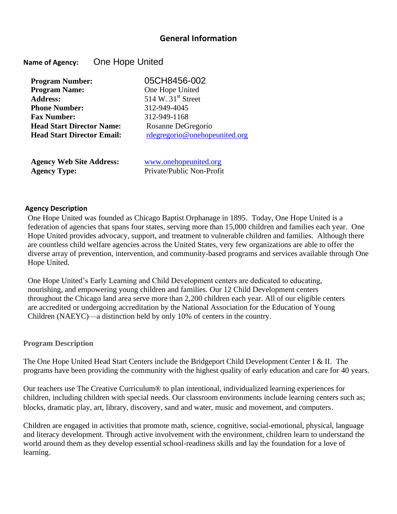### **General Information**

#### **Name of Agency:** One Hope United

| <b>Program Number:</b>            | 05CH8456-002<br>One Hope United |  |
|-----------------------------------|---------------------------------|--|
| <b>Program Name:</b>              |                                 |  |
| <b>Address:</b>                   | 514 W. 31 <sup>st</sup> Street  |  |
| <b>Phone Number:</b>              | 312-949-4045                    |  |
| <b>Fax Number:</b>                | 312-949-1168                    |  |
| <b>Head Start Director Name:</b>  | Rosanne DeGregorio              |  |
| <b>Head Start Director Email:</b> | rdegregorio@onehopeunited.org   |  |
|                                   |                                 |  |

**Agency Web Site Address:** [www.onehopeunited.org](http://www.onehopeunited.org/) **Agency Type:** Private/Public Non-Profit

#### **Agency Description**

One Hope United was founded as Chicago Baptist Orphanage in 1895. Today, One Hope United is a federation of agencies that spans four states, serving more than 15,000 children and families each year. One Hope United provides advocacy, support, and treatment to vulnerable children and families. Although there are countless child welfare agencies across the United States, very few organizations are able to offer the diverse array of prevention, intervention, and community-based programs and services available through One Hope United.

One Hope United's Early Learning and Child Development centers are dedicated to educating, nourishing, and empowering young children and families. Our 12 Child Development centers throughout the Chicago land area serve more than 2,200 children each year. All of our eligible centers are accredited or undergoing accreditation by the National Association for the Education of Young Children (NAEYC)—a distinction held by only 10% of centers in the country.

#### **Program Description**

The One Hope United Head Start Centers include the Bridgeport Child Development Center I & II. The programs have been providing the community with the highest quality of early education and care for 40 years.

Our teachers use The Creative Curriculum® to plan intentional, individualized learning experiences for children, including children with special needs. Our classroom environments include learning centers such as; blocks, dramatic play, art, library, discovery, sand and water, music and movement, and computers.

Children are engaged in activities that promote math, science, cognitive, social-emotional, physical, language and literacy development. Through active involvement with the environment, children learn to understand the world around them as they develop essential school-readiness skills and lay the foundation for a love of learning.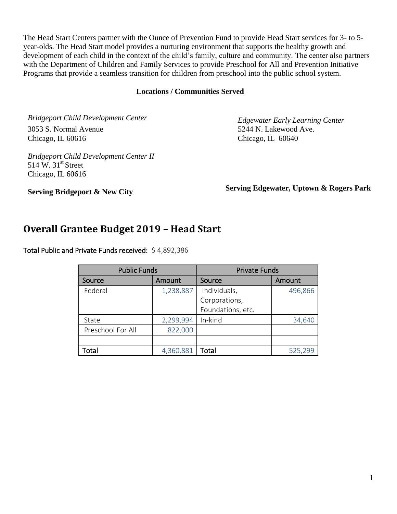The Head Start Centers partner with the Ounce of Prevention Fund to provide Head Start services for 3- to 5 year-olds. The Head Start model provides a nurturing environment that supports the healthy growth and development of each child in the context of the child's family, culture and community. The center also partners with the Department of Children and Family Services to provide Preschool for All and Prevention Initiative Programs that provide a seamless transition for children from preschool into the public school system.

#### **Locations / Communities Served**

*Bridgeport Child Development Center Edgewater Early Learning Center*  3053 S. Normal Avenue 3053 S. 5244 N. Lakewood Ave. Chicago, IL 60616 Chicago, IL 60640

*Bridgeport Child Development Center II*  $514 \text{ W}$ .  $31^{\text{st}}$  Street Chicago, IL 60616

**Serving Bridgeport & New City Serving Edgewater, Uptown & Rogers Park** 

## **Overall Grantee Budget 2019 – Head Start**

Total Public and Private Funds received: \$ 4,892,386

| <b>Public Funds</b> |           | <b>Private Funds</b> |         |
|---------------------|-----------|----------------------|---------|
| Source              | Amount    | Source               | Amount  |
| Federal             | 1,238,887 | Individuals,         | 496,866 |
|                     |           | Corporations,        |         |
|                     |           | Foundations, etc.    |         |
| State               | 2,299,994 | In-kind              | 34,640  |
| Preschool For All   | 822,000   |                      |         |
|                     |           |                      |         |
| Total               | 4,360,881 | Total                | 525,299 |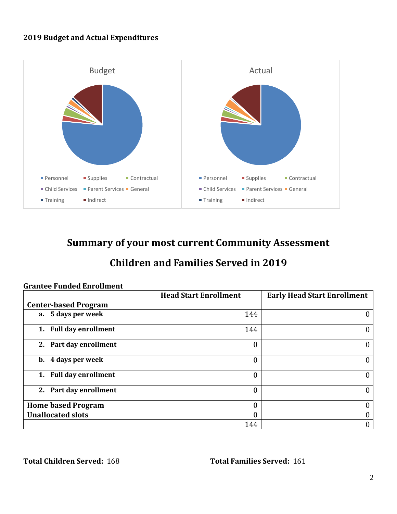#### **2019 Budget and Actual Expenditures**



## **Summary of your most current Community Assessment**

## **Children and Families Served in 2019**

|                             | <b>Head Start Enrollment</b> | <b>Early Head Start Enrollment</b> |
|-----------------------------|------------------------------|------------------------------------|
| <b>Center-based Program</b> |                              |                                    |
| a. 5 days per week          | 144                          |                                    |
| 1. Full day enrollment      | 144                          |                                    |
| 2. Part day enrollment      | 0                            | 0                                  |
| b. 4 days per week          | 0                            | 0                                  |
| 1. Full day enrollment      | 0                            | 0                                  |
| 2. Part day enrollment      | 0                            | 0                                  |
| <b>Home based Program</b>   |                              |                                    |
| <b>Unallocated slots</b>    |                              |                                    |
|                             | 144                          | 0                                  |

#### **Grantee Funded Enrollment**

**Total Children Served:** 168 **Total Families Served:** 161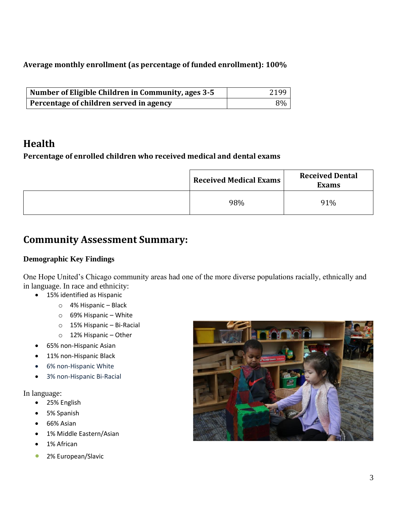**Average monthly enrollment (as percentage of funded enrollment): 100%** 

| Number of Eligible Children in Community, ages 3-5 | 2199 |
|----------------------------------------------------|------|
| Percentage of children served in agency            | 8%   |

## **Health**

### **Percentage of enrolled children who received medical and dental exams**

| <b>Received Medical Exams</b> | <b>Received Dental</b><br><b>Exams</b> |
|-------------------------------|----------------------------------------|
| 98%                           | 91%                                    |

## **Community Assessment Summary:**

### **Demographic Key Findings**

One Hope United's Chicago community areas had one of the more diverse populations racially, ethnically and in language. In race and ethnicity:

- 15% identified as Hispanic
	- o 4% Hispanic Black
	- o 69% Hispanic White
	- o 15% Hispanic Bi-Racial
	- o 12% Hispanic Other
- 65% non-Hispanic Asian
- 11% non-Hispanic Black
- 6% non-Hispanic White
- 3% non-Hispanic Bi-Racial

#### In language:

- 25% English
- 5% Spanish
- 66% Asian
- 1% Middle Eastern/Asian
- 1% African
- 2% European/Slavic

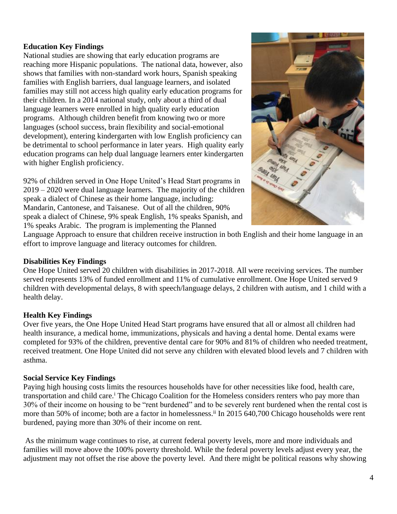#### **Education Key Findings**

National studies are showing that early education programs are reaching more Hispanic populations. The national data, however, also shows that families with non-standard work hours, Spanish speaking families with English barriers, dual language learners, and isolated families may still not access high quality early education programs for their children. In a 2014 national study, only about a third of dual language learners were enrolled in high quality early education programs. Although children benefit from knowing two or more languages (school success, brain flexibility and social-emotional development), entering kindergarten with low English proficiency can be detrimental to school performance in later years. High quality early education programs can help dual language learners enter kindergarten with higher English proficiency.

92% of children served in One Hope United's Head Start programs in 2019 – 2020 were dual language learners. The majority of the children speak a dialect of Chinese as their home language, including: Mandarin, Cantonese, and Taisanese. Out of all the children, 90% speak a dialect of Chinese, 9% speak English, 1% speaks Spanish, and 1% speaks Arabic. The program is implementing the Planned



Language Approach to ensure that children receive instruction in both English and their home language in an effort to improve language and literacy outcomes for children.

#### **Disabilities Key Findings**

One Hope United served 20 children with disabilities in 2017-2018. All were receiving services. The number served represents 13% of funded enrollment and 11% of cumulative enrollment. One Hope United served 9 children with developmental delays, 8 with speech/language delays, 2 children with autism, and 1 child with a health delay.

#### **Health Key Findings**

Over five years, the One Hope United Head Start programs have ensured that all or almost all children had health insurance, a medical home, immunizations, physicals and having a dental home. Dental exams were completed for 93% of the children, preventive dental care for 90% and 81% of children who needed treatment, received treatment. One Hope United did not serve any children with elevated blood levels and 7 children with asthma.

#### **Social Service Key Findings**

Paying high housing costs limits the resources households have for other necessities like food, health care, transportation and child care.<sup>i</sup> The Chicago Coalition for the Homeless considers renters who pay more than 30% of their income on housing to be "rent burdened" and to be severely rent burdened when the rental cost is more than 50% of income; both are a factor in homelessness.<sup>ii</sup> In 2015 640,700 Chicago households were rent burdened, paying more than 30% of their income on rent.

As the minimum wage continues to rise, at current federal poverty levels, more and more individuals and families will move above the 100% poverty threshold. While the federal poverty levels adjust every year, the adjustment may not offset the rise above the poverty level. And there might be political reasons why showing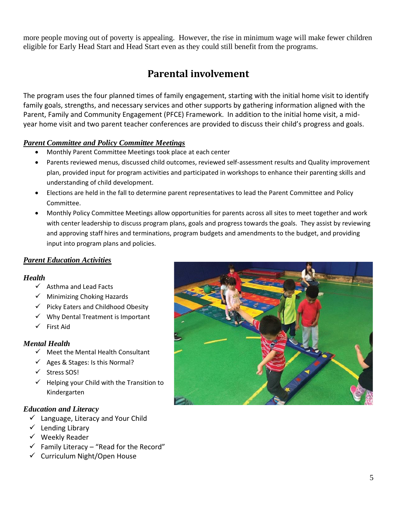more people moving out of poverty is appealing. However, the rise in minimum wage will make fewer children eligible for Early Head Start and Head Start even as they could still benefit from the programs.

## **Parental involvement**

The program uses the four planned times of family engagement, starting with the initial home visit to identify family goals, strengths, and necessary services and other supports by gathering information aligned with the Parent, Family and Community Engagement (PFCE) Framework. In addition to the initial home visit, a midyear home visit and two parent teacher conferences are provided to discuss their child's progress and goals.

#### *Parent Committee and Policy Committee Meetings*

- Monthly Parent Committee Meetings took place at each center
- Parents reviewed menus, discussed child outcomes, reviewed self-assessment results and Quality improvement plan, provided input for program activities and participated in workshops to enhance their parenting skills and understanding of child development.
- Elections are held in the fall to determine parent representatives to lead the Parent Committee and Policy Committee.
- Monthly Policy Committee Meetings allow opportunities for parents across all sites to meet together and work with center leadership to discuss program plans, goals and progress towards the goals. They assist by reviewing and approving staff hires and terminations, program budgets and amendments to the budget, and providing input into program plans and policies.

#### *Parent Education Activities*

#### *Health*

- ✓ Asthma and Lead Facts
- ✓ Minimizing Choking Hazards
- ✓ Picky Eaters and Childhood Obesity
- $\checkmark$  Why Dental Treatment is Important
- ✓ First Aid

#### *Mental Health*

- $\checkmark$  Meet the Mental Health Consultant
- $\checkmark$  Ages & Stages: Is this Normal?
- ✓ Stress SOS!
- $\checkmark$  Helping your Child with the Transition to Kindergarten

#### *Education and Literacy*

- $\checkmark$  Language, Literacy and Your Child
- ✓ Lending Library
- $\checkmark$  Weekly Reader
- $\checkmark$  Family Literacy "Read for the Record"
- ✓ Curriculum Night/Open House